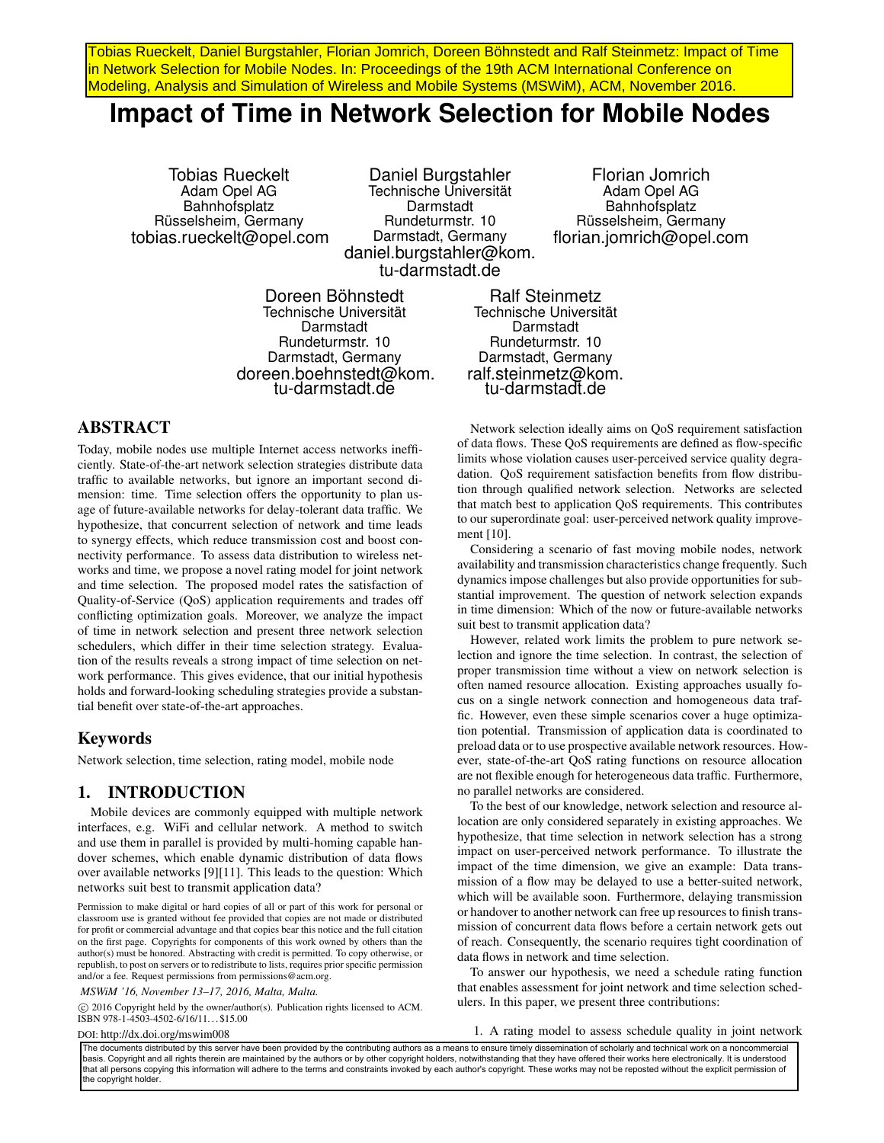Tobias Rueckelt, Daniel Burgstahler, Florian Jomrich, Doreen Böhnstedt and Ralf Steinmetz: Impact of Time in Network Selection for Mobile Nodes. In: Proceedings of the 19th ACM International Conference on Modeling, Analysis and Simulation of Wireless and Mobile Systems (MSWiM), ACM, November 2016.

# **Impact of Time in Network Selection for Mobile Nodes**

Tobias Rueckelt Adam Opel AG **Bahnhofsplatz** Rüsselsheim, Germany tobias.rueckelt@opel.com

Daniel Burgstahler Technische Universität Darmstadt Rundeturmstr. 10 Darmstadt, Germany daniel.burgstahler@kom. tu-darmstadt.de

Doreen Böhnstedt Technische Universität Darmstadt Rundeturmstr. 10 Darmstadt, Germany doreen.boehnstedt@kom. tu-darmstadt.de

Florian Jomrich Adam Opel AG **Bahnhofsplatz** Rüsselsheim, Germany florian.jomrich@opel.com

Ralf Steinmetz Technische Universität Darmstadt Rundeturmstr. 10 Darmstadt, Germany ralf.steinmetz@kom. tu-darmstadt.de

# ABSTRACT

Today, mobile nodes use multiple Internet access networks inefficiently. State-of-the-art network selection strategies distribute data traffic to available networks, but ignore an important second dimension: time. Time selection offers the opportunity to plan usage of future-available networks for delay-tolerant data traffic. We hypothesize, that concurrent selection of network and time leads to synergy effects, which reduce transmission cost and boost connectivity performance. To assess data distribution to wireless networks and time, we propose a novel rating model for joint network and time selection. The proposed model rates the satisfaction of Quality-of-Service (QoS) application requirements and trades off conflicting optimization goals. Moreover, we analyze the impact of time in network selection and present three network selection schedulers, which differ in their time selection strategy. Evaluation of the results reveals a strong impact of time selection on network performance. This gives evidence, that our initial hypothesis holds and forward-looking scheduling strategies provide a substantial benefit over state-of-the-art approaches.

# Keywords

Network selection, time selection, rating model, mobile node

# 1. INTRODUCTION

Mobile devices are commonly equipped with multiple network interfaces, e.g. WiFi and cellular network. A method to switch and use them in parallel is provided by multi-homing capable handover schemes, which enable dynamic distribution of data flows over available networks [9][11]. This leads to the question: Which networks suit best to transmit application data?

Permission to make digital or hard copies of all or part of this work for personal or classroom use is granted without fee provided that copies are not made or distributed for profit or commercial advantage and that copies bear this notice and the full citation on the first page. Copyrights for components of this work owned by others than the author(s) must be honored. Abstracting with credit is permitted. To copy otherwise, or republish, to post on servers or to redistribute to lists, requires prior specific permission and/or a fee. Request permissions from permissions@acm.org.

*MSWiM '16, November 13–17, 2016, Malta, Malta.*

 c 2016 Copyright held by the owner/author(s). Publication rights licensed to ACM. ISBN 978-1-4503-4502-6/16/11. . . \$15.00

### DOI: http://dx.doi.org/mswim008

Network selection ideally aims on QoS requirement satisfaction of data flows. These QoS requirements are defined as flow-specific limits whose violation causes user-perceived service quality degradation. QoS requirement satisfaction benefits from flow distribution through qualified network selection. Networks are selected that match best to application QoS requirements. This contributes to our superordinate goal: user-perceived network quality improvement [10].

Considering a scenario of fast moving mobile nodes, network availability and transmission characteristics change frequently. Such dynamics impose challenges but also provide opportunities for substantial improvement. The question of network selection expands in time dimension: Which of the now or future-available networks suit best to transmit application data?

However, related work limits the problem to pure network selection and ignore the time selection. In contrast, the selection of proper transmission time without a view on network selection is often named resource allocation. Existing approaches usually focus on a single network connection and homogeneous data traffic. However, even these simple scenarios cover a huge optimization potential. Transmission of application data is coordinated to preload data or to use prospective available network resources. However, state-of-the-art QoS rating functions on resource allocation are not flexible enough for heterogeneous data traffic. Furthermore, no parallel networks are considered.

To the best of our knowledge, network selection and resource allocation are only considered separately in existing approaches. We hypothesize, that time selection in network selection has a strong impact on user-perceived network performance. To illustrate the impact of the time dimension, we give an example: Data transmission of a flow may be delayed to use a better-suited network, which will be available soon. Furthermore, delaying transmission or handover to another network can free up resources to finish transmission of concurrent data flows before a certain network gets out of reach. Consequently, the scenario requires tight coordination of data flows in network and time selection.

To answer our hypothesis, we need a schedule rating function that enables assessment for joint network and time selection schedulers. In this paper, we present three contributions:

1. A rating model to assess schedule quality in joint network

The documents distributed by this server have been provided by the contributing authors as a means to ensure timely dissemination of scholarly and technical work on a noncommercial basis. Copyright and all rights therein are maintained by the authors or by other copyright holders, notwithstanding that they have offered their works here electronically. It is understood that all persons copying this information will adhere to the terms and constraints invoked by each author's copyright. These works may not be reposted without the explicit permission of the copyright holder.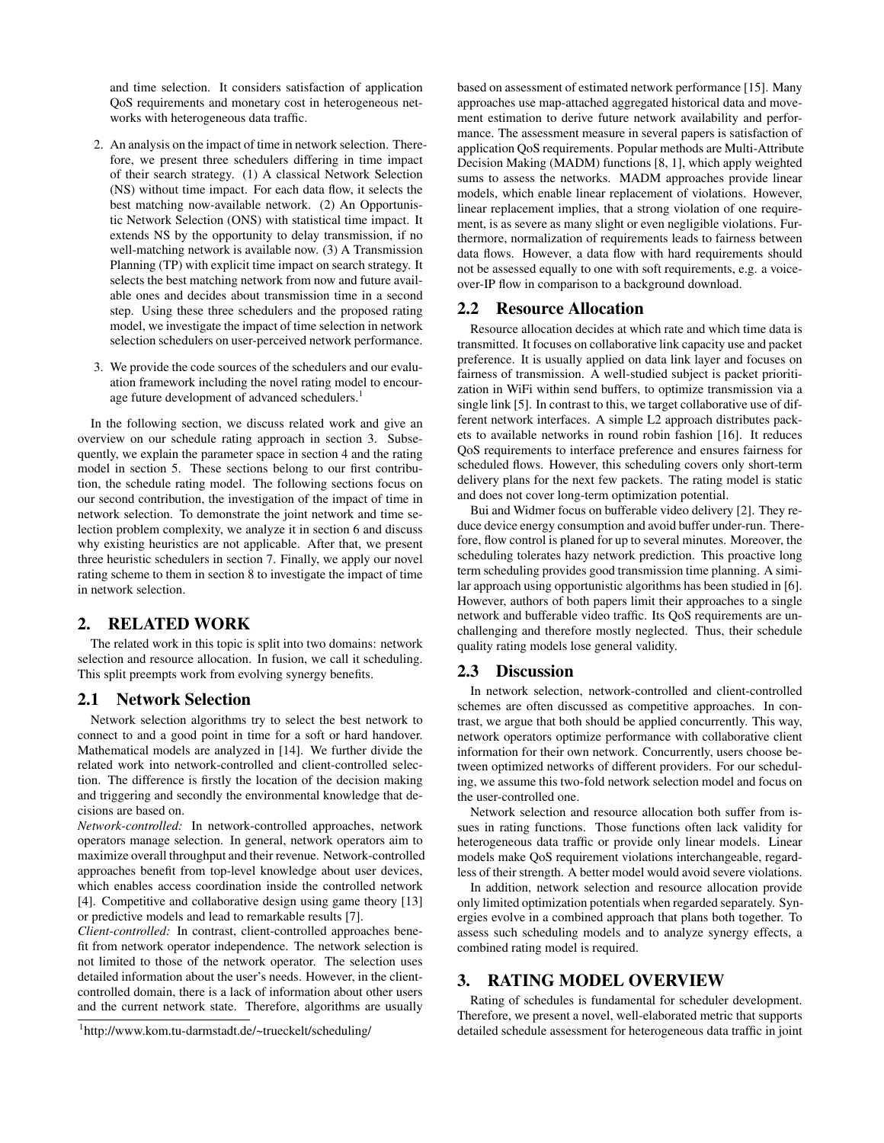and time selection. It considers satisfaction of application QoS requirements and monetary cost in heterogeneous networks with heterogeneous data traffic.

- 2. An analysis on the impact of time in network selection. Therefore, we present three schedulers differing in time impact of their search strategy. (1) A classical Network Selection (NS) without time impact. For each data flow, it selects the best matching now-available network. (2) An Opportunistic Network Selection (ONS) with statistical time impact. It extends NS by the opportunity to delay transmission, if no well-matching network is available now. (3) A Transmission Planning (TP) with explicit time impact on search strategy. It selects the best matching network from now and future available ones and decides about transmission time in a second step. Using these three schedulers and the proposed rating model, we investigate the impact of time selection in network selection schedulers on user-perceived network performance.
- 3. We provide the code sources of the schedulers and our evaluation framework including the novel rating model to encourage future development of advanced schedulers.<sup>1</sup>

In the following section, we discuss related work and give an overview on our schedule rating approach in section 3. Subsequently, we explain the parameter space in section 4 and the rating model in section 5. These sections belong to our first contribution, the schedule rating model. The following sections focus on our second contribution, the investigation of the impact of time in network selection. To demonstrate the joint network and time selection problem complexity, we analyze it in section 6 and discuss why existing heuristics are not applicable. After that, we present three heuristic schedulers in section 7. Finally, we apply our novel rating scheme to them in section 8 to investigate the impact of time in network selection.

# 2. RELATED WORK

The related work in this topic is split into two domains: network selection and resource allocation. In fusion, we call it scheduling. This split preempts work from evolving synergy benefits.

# 2.1 Network Selection

Network selection algorithms try to select the best network to connect to and a good point in time for a soft or hard handover. Mathematical models are analyzed in [14]. We further divide the related work into network-controlled and client-controlled selection. The difference is firstly the location of the decision making and triggering and secondly the environmental knowledge that decisions are based on.

*Network-controlled:* In network-controlled approaches, network operators manage selection. In general, network operators aim to maximize overall throughput and their revenue. Network-controlled approaches benefit from top-level knowledge about user devices, which enables access coordination inside the controlled network [4]. Competitive and collaborative design using game theory [13] or predictive models and lead to remarkable results [7].

*Client-controlled:* In contrast, client-controlled approaches benefit from network operator independence. The network selection is not limited to those of the network operator. The selection uses detailed information about the user's needs. However, in the clientcontrolled domain, there is a lack of information about other users and the current network state. Therefore, algorithms are usually

based on assessment of estimated network performance [15]. Many approaches use map-attached aggregated historical data and movement estimation to derive future network availability and performance. The assessment measure in several papers is satisfaction of application QoS requirements. Popular methods are Multi-Attribute Decision Making (MADM) functions [8, 1], which apply weighted sums to assess the networks. MADM approaches provide linear models, which enable linear replacement of violations. However, linear replacement implies, that a strong violation of one requirement, is as severe as many slight or even negligible violations. Furthermore, normalization of requirements leads to fairness between data flows. However, a data flow with hard requirements should not be assessed equally to one with soft requirements, e.g. a voiceover-IP flow in comparison to a background download.

# 2.2 Resource Allocation

Resource allocation decides at which rate and which time data is transmitted. It focuses on collaborative link capacity use and packet preference. It is usually applied on data link layer and focuses on fairness of transmission. A well-studied subject is packet prioritization in WiFi within send buffers, to optimize transmission via a single link [5]. In contrast to this, we target collaborative use of different network interfaces. A simple L2 approach distributes packets to available networks in round robin fashion [16]. It reduces QoS requirements to interface preference and ensures fairness for scheduled flows. However, this scheduling covers only short-term delivery plans for the next few packets. The rating model is static and does not cover long-term optimization potential.

Bui and Widmer focus on bufferable video delivery [2]. They reduce device energy consumption and avoid buffer under-run. Therefore, flow control is planed for up to several minutes. Moreover, the scheduling tolerates hazy network prediction. This proactive long term scheduling provides good transmission time planning. A similar approach using opportunistic algorithms has been studied in [6]. However, authors of both papers limit their approaches to a single network and bufferable video traffic. Its QoS requirements are unchallenging and therefore mostly neglected. Thus, their schedule quality rating models lose general validity.

# 2.3 Discussion

In network selection, network-controlled and client-controlled schemes are often discussed as competitive approaches. In contrast, we argue that both should be applied concurrently. This way, network operators optimize performance with collaborative client information for their own network. Concurrently, users choose between optimized networks of different providers. For our scheduling, we assume this two-fold network selection model and focus on the user-controlled one.

Network selection and resource allocation both suffer from issues in rating functions. Those functions often lack validity for heterogeneous data traffic or provide only linear models. Linear models make QoS requirement violations interchangeable, regardless of their strength. A better model would avoid severe violations.

In addition, network selection and resource allocation provide only limited optimization potentials when regarded separately. Synergies evolve in a combined approach that plans both together. To assess such scheduling models and to analyze synergy effects, a combined rating model is required.

# 3. RATING MODEL OVERVIEW

Rating of schedules is fundamental for scheduler development. Therefore, we present a novel, well-elaborated metric that supports detailed schedule assessment for heterogeneous data traffic in joint

<sup>1</sup> http://www.kom.tu-darmstadt.de/~trueckelt/scheduling/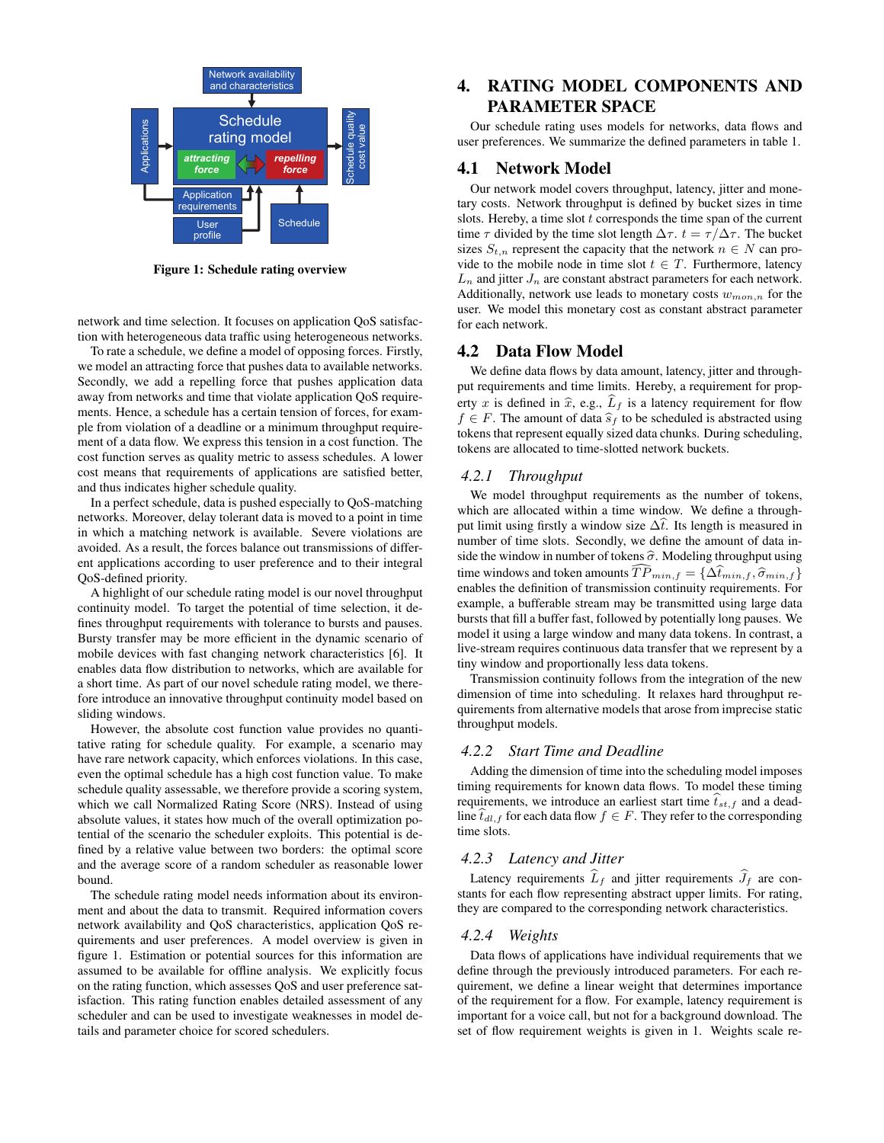

Figure 1: Schedule rating overview

network and time selection. It focuses on application QoS satisfaction with heterogeneous data traffic using heterogeneous networks.

To rate a schedule, we define a model of opposing forces. Firstly, we model an attracting force that pushes data to available networks. Secondly, we add a repelling force that pushes application data away from networks and time that violate application QoS requirements. Hence, a schedule has a certain tension of forces, for example from violation of a deadline or a minimum throughput requirement of a data flow. We express this tension in a cost function. The cost function serves as quality metric to assess schedules. A lower cost means that requirements of applications are satisfied better, and thus indicates higher schedule quality.

In a perfect schedule, data is pushed especially to QoS-matching networks. Moreover, delay tolerant data is moved to a point in time in which a matching network is available. Severe violations are avoided. As a result, the forces balance out transmissions of different applications according to user preference and to their integral QoS-defined priority.

A highlight of our schedule rating model is our novel throughput continuity model. To target the potential of time selection, it defines throughput requirements with tolerance to bursts and pauses. Bursty transfer may be more efficient in the dynamic scenario of mobile devices with fast changing network characteristics [6]. It enables data flow distribution to networks, which are available for a short time. As part of our novel schedule rating model, we therefore introduce an innovative throughput continuity model based on sliding windows.

However, the absolute cost function value provides no quantitative rating for schedule quality. For example, a scenario may have rare network capacity, which enforces violations. In this case, even the optimal schedule has a high cost function value. To make schedule quality assessable, we therefore provide a scoring system, which we call Normalized Rating Score (NRS). Instead of using absolute values, it states how much of the overall optimization potential of the scenario the scheduler exploits. This potential is defined by a relative value between two borders: the optimal score and the average score of a random scheduler as reasonable lower bound.

The schedule rating model needs information about its environment and about the data to transmit. Required information covers network availability and QoS characteristics, application QoS requirements and user preferences. A model overview is given in figure 1. Estimation or potential sources for this information are assumed to be available for offline analysis. We explicitly focus on the rating function, which assesses QoS and user preference satisfaction. This rating function enables detailed assessment of any scheduler and can be used to investigate weaknesses in model details and parameter choice for scored schedulers.

# 4. RATING MODEL COMPONENTS AND PARAMETER SPACE

Our schedule rating uses models for networks, data flows and user preferences. We summarize the defined parameters in table 1.

# 4.1 Network Model

Our network model covers throughput, latency, jitter and monetary costs. Network throughput is defined by bucket sizes in time slots. Hereby, a time slot  $t$  corresponds the time span of the current time  $\tau$  divided by the time slot length  $\Delta \tau$ .  $t = \tau / \Delta \tau$ . The bucket sizes  $S_{t,n}$  represent the capacity that the network  $n \in N$  can provide to the mobile node in time slot  $t \in T$ . Furthermore, latency  $L_n$  and jitter  $J_n$  are constant abstract parameters for each network. Additionally, network use leads to monetary costs  $w_{mon,n}$  for the user. We model this monetary cost as constant abstract parameter for each network.

# 4.2 Data Flow Model

We define data flows by data amount, latency, jitter and throughput requirements and time limits. Hereby, a requirement for property x is defined in  $\hat{x}$ , e.g.,  $\hat{L}_f$  is a latency requirement for flow  $f \in F$ . The amount of data  $\hat{s}_f$  to be scheduled is abstracted using tokens that represent equally sized data chunks. During scheduling, tokens are allocated to time-slotted network buckets.

### *4.2.1 Throughput*

We model throughput requirements as the number of tokens, which are allocated within a time window. We define a throughput limit using firstly a window size  $\Delta \hat{t}$ . Its length is measured in number of time slots. Secondly, we define the amount of data inside the window in number of tokens  $\hat{\sigma}$ . Modeling throughput using time windows and token amounts  $\widehat{TP}_{min,f} = {\Delta \hat{t}_{min,f}, \hat{\sigma}_{min,f}}$ enables the definition of transmission continuity requirements. For example, a bufferable stream may be transmitted using large data bursts that fill a buffer fast, followed by potentially long pauses. We model it using a large window and many data tokens. In contrast, a live-stream requires continuous data transfer that we represent by a tiny window and proportionally less data tokens.

Transmission continuity follows from the integration of the new dimension of time into scheduling. It relaxes hard throughput requirements from alternative models that arose from imprecise static throughput models.

### *4.2.2 Start Time and Deadline*

Adding the dimension of time into the scheduling model imposes timing requirements for known data flows. To model these timing requirements, we introduce an earliest start time  $\hat{t}_{st,f}$  and a deadline  $\hat{t}_{d,l,f}$  for each data flow  $f \in F$ . They refer to the corresponding time slots.

# *4.2.3 Latency and Jitter*

Latency requirements  $\widehat{L}_f$  and jitter requirements  $\widehat{J}_f$  are constants for each flow representing abstract upper limits. For rating, they are compared to the corresponding network characteristics.

### *4.2.4 Weights*

Data flows of applications have individual requirements that we define through the previously introduced parameters. For each requirement, we define a linear weight that determines importance of the requirement for a flow. For example, latency requirement is important for a voice call, but not for a background download. The set of flow requirement weights is given in 1. Weights scale re-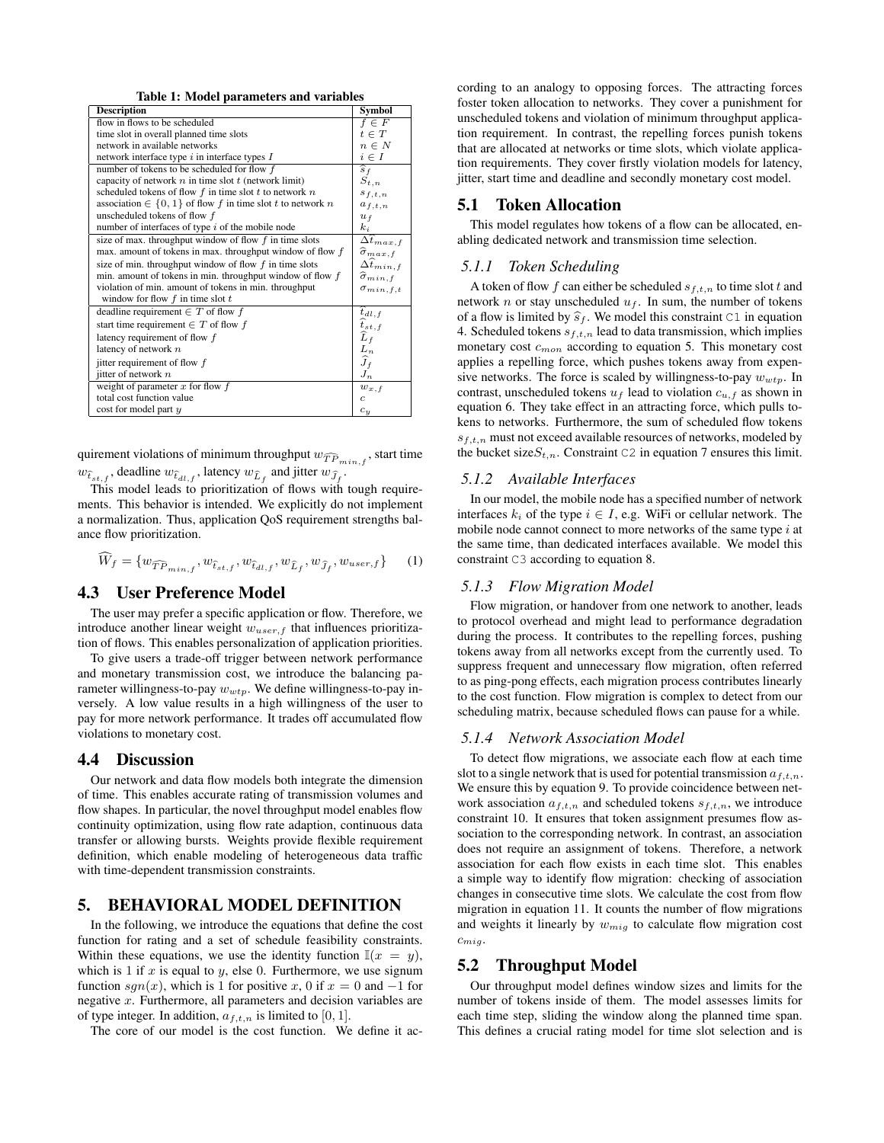Table 1: Model parameters and variables

| <b>Description</b>                                               | <b>Symbol</b>                |
|------------------------------------------------------------------|------------------------------|
| flow in flows to be scheduled                                    | $f \in F$                    |
| time slot in overall planned time slots                          | $t \in T$                    |
| network in available networks                                    | $n \in N$                    |
| network interface type $i$ in interface types $I$                | $i \in I$                    |
| number of tokens to be scheduled for flow $f$                    | $\widehat{s}_f$              |
| capacity of network $n$ in time slot $t$ (network limit)         | $S_{t,n}$                    |
| scheduled tokens of flow $f$ in time slot $t$ to network $n$     | $s_{f, t, n}$                |
| association $\in \{0, 1\}$ of flow f in time slot t to network n | $a_{f,t,n}$                  |
| unscheduled tokens of flow $f$                                   | $u_f$                        |
| number of interfaces of type $i$ of the mobile node              | $k_i$                        |
| size of max. throughput window of flow $f$ in time slots         | $\widehat{\Delta t_{max,f}}$ |
| max. amount of tokens in max. throughput window of flow $f$      | $\widehat{\sigma}_{\max, f}$ |
| size of min. throughput window of flow $f$ in time slots         | $\Delta \widehat{t}_{min,f}$ |
| min. amount of tokens in min. throughput window of flow $f$      | $\widehat{\sigma}_{min,f}$   |
| violation of min. amount of tokens in min. throughput            | $\sigma_{min,f,t}$           |
| window for flow $f$ in time slot $t$                             |                              |
| deadline requirement $\in T$ of flow f                           | $t_{dl,f}$                   |
| start time requirement $\in T$ of flow f                         | $\widehat{t}_{st,f}$         |
| latency requirement of flow $f$                                  | $\widehat{L}_{f}$            |
| latency of network $n$                                           | $L_n$                        |
| jitter requirement of flow $f$                                   | $\widehat{J}_f$              |
| jitter of network $n$                                            | $J_n$                        |
| weight of parameter $x$ for flow $f$                             | $w_{x,f}$                    |
| total cost function value                                        | $\overline{c}$               |
| cost for model part $y$                                          | $c_y$                        |

quirement violations of minimum throughput  $w_{\widehat{TP}_{min,f}}$ , start time  $w_{\hat{t}_{st,f}}$ , deadline  $w_{\hat{t}_{dt,f}}$ , latency  $w_{\hat{L}_f}$  and jitter  $w_{\hat{J}_f}$ .

This model leads to prioritization of flows with tough requirements. This behavior is intended. We explicitly do not implement a normalization. Thus, application QoS requirement strengths balance flow prioritization.

$$
W_f = \{ w_{\widehat{TP}_{min,f}}, w_{\widehat{t}_{st,f}}, w_{\widehat{t}_{dl,f}}, w_{\widehat{L}_f}, w_{\widehat{J}_f}, w_{user,f} \} \qquad (1)
$$

### 4.3 User Preference Model

The user may prefer a specific application or flow. Therefore, we introduce another linear weight  $w_{user,f}$  that influences prioritization of flows. This enables personalization of application priorities.

To give users a trade-off trigger between network performance and monetary transmission cost, we introduce the balancing parameter willingness-to-pay  $w_{wtp}$ . We define willingness-to-pay inversely. A low value results in a high willingness of the user to pay for more network performance. It trades off accumulated flow violations to monetary cost.

# 4.4 Discussion

Our network and data flow models both integrate the dimension of time. This enables accurate rating of transmission volumes and flow shapes. In particular, the novel throughput model enables flow continuity optimization, using flow rate adaption, continuous data transfer or allowing bursts. Weights provide flexible requirement definition, which enable modeling of heterogeneous data traffic with time-dependent transmission constraints.

# 5. BEHAVIORAL MODEL DEFINITION

In the following, we introduce the equations that define the cost function for rating and a set of schedule feasibility constraints. Within these equations, we use the identity function  $\mathbb{I}(x = y)$ , which is 1 if  $x$  is equal to  $y$ , else 0. Furthermore, we use signum function sgn(x), which is 1 for positive x, 0 if  $x = 0$  and  $-1$  for negative x. Furthermore, all parameters and decision variables are of type integer. In addition,  $a_{f,t,n}$  is limited to [0, 1].

The core of our model is the cost function. We define it ac-

cording to an analogy to opposing forces. The attracting forces foster token allocation to networks. They cover a punishment for unscheduled tokens and violation of minimum throughput application requirement. In contrast, the repelling forces punish tokens that are allocated at networks or time slots, which violate application requirements. They cover firstly violation models for latency, jitter, start time and deadline and secondly monetary cost model.

### 5.1 Token Allocation

This model regulates how tokens of a flow can be allocated, enabling dedicated network and transmission time selection.

### *5.1.1 Token Scheduling*

A token of flow f can either be scheduled  $s_{f,t,n}$  to time slot t and network *n* or stay unscheduled  $u_f$ . In sum, the number of tokens of a flow is limited by  $\hat{s}_f$ . We model this constraint C1 in equation 4. Scheduled tokens  $s_{f,t,n}$  lead to data transmission, which implies monetary cost  $c_{mon}$  according to equation 5. This monetary cost applies a repelling force, which pushes tokens away from expensive networks. The force is scaled by willingness-to-pay  $w_{wtp}$ . In contrast, unscheduled tokens  $u_f$  lead to violation  $c_{u,f}$  as shown in equation 6. They take effect in an attracting force, which pulls tokens to networks. Furthermore, the sum of scheduled flow tokens  $s_{f,t,n}$  must not exceed available resources of networks, modeled by the bucket size  $S_{t,n}$ . Constraint C2 in equation 7 ensures this limit.

### *5.1.2 Available Interfaces*

In our model, the mobile node has a specified number of network interfaces  $k_i$  of the type  $i \in I$ , e.g. WiFi or cellular network. The mobile node cannot connect to more networks of the same type  $i$  at the same time, than dedicated interfaces available. We model this constraint C3 according to equation 8.

### *5.1.3 Flow Migration Model*

Flow migration, or handover from one network to another, leads to protocol overhead and might lead to performance degradation during the process. It contributes to the repelling forces, pushing tokens away from all networks except from the currently used. To suppress frequent and unnecessary flow migration, often referred to as ping-pong effects, each migration process contributes linearly to the cost function. Flow migration is complex to detect from our scheduling matrix, because scheduled flows can pause for a while.

### *5.1.4 Network Association Model*

To detect flow migrations, we associate each flow at each time slot to a single network that is used for potential transmission  $a_{f,t,n}$ . We ensure this by equation 9. To provide coincidence between network association  $a_{f,t,n}$  and scheduled tokens  $s_{f,t,n}$ , we introduce constraint 10. It ensures that token assignment presumes flow association to the corresponding network. In contrast, an association does not require an assignment of tokens. Therefore, a network association for each flow exists in each time slot. This enables a simple way to identify flow migration: checking of association changes in consecutive time slots. We calculate the cost from flow migration in equation 11. It counts the number of flow migrations and weights it linearly by  $w_{mig}$  to calculate flow migration cost  $c_{mig}.$ 

# 5.2 Throughput Model

Our throughput model defines window sizes and limits for the number of tokens inside of them. The model assesses limits for each time step, sliding the window along the planned time span. This defines a crucial rating model for time slot selection and is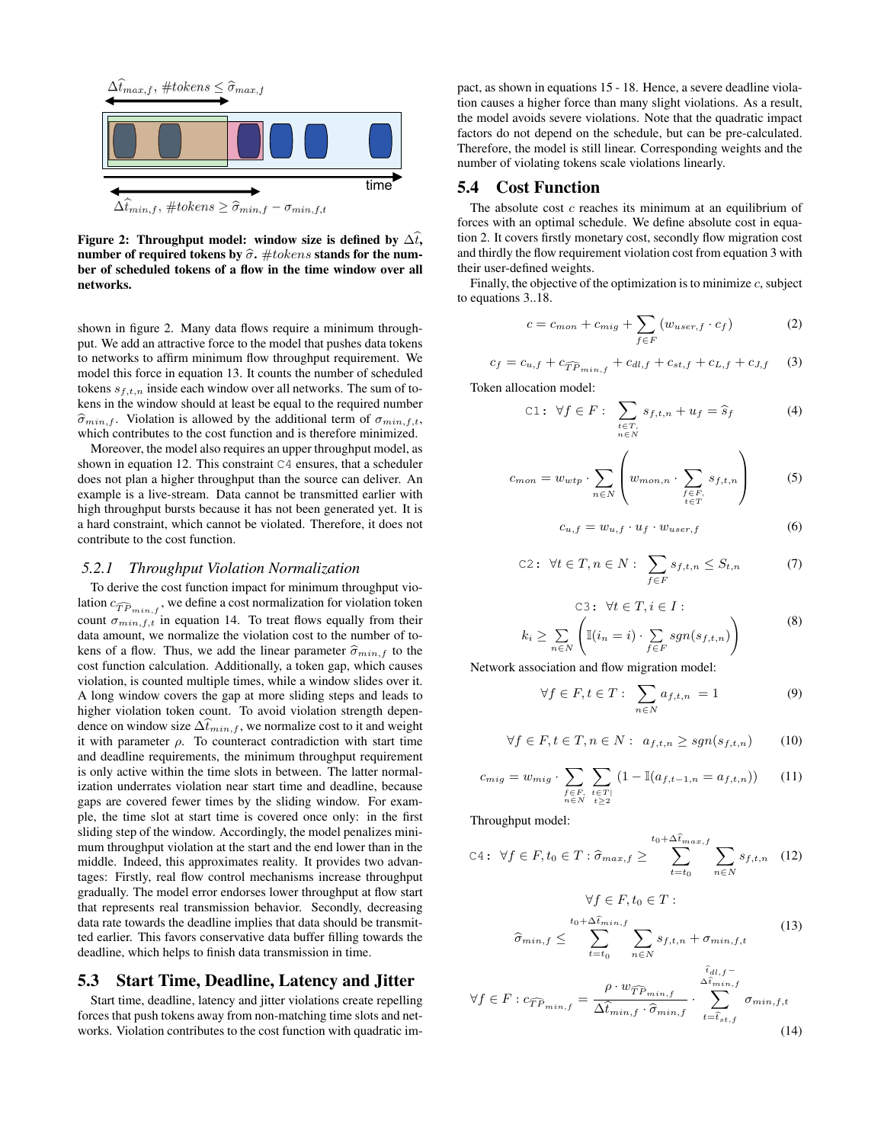

Figure 2: Throughput model: window size is defined by  $\Delta t$ , number of required tokens by  $\hat{\sigma}$ . #tokens stands for the number of scheduled tokens of a flow in the time window over all networks.

shown in figure 2. Many data flows require a minimum throughput. We add an attractive force to the model that pushes data tokens to networks to affirm minimum flow throughput requirement. We model this force in equation 13. It counts the number of scheduled tokens  $s_{f,t,n}$  inside each window over all networks. The sum of tokens in the window should at least be equal to the required number  $\hat{\sigma}_{min,f}$ . Violation is allowed by the additional term of  $\sigma_{min,f,t}$ , which contributes to the cost function and is therefore minimized.

Moreover, the model also requires an upper throughput model, as shown in equation 12. This constraint  $C4$  ensures, that a scheduler does not plan a higher throughput than the source can deliver. An example is a live-stream. Data cannot be transmitted earlier with high throughput bursts because it has not been generated yet. It is a hard constraint, which cannot be violated. Therefore, it does not contribute to the cost function.

### *5.2.1 Throughput Violation Normalization*

To derive the cost function impact for minimum throughput violation  $c_{\widehat{TP}_{min,f}}$ , we define a cost normalization for violation token count  $\sigma_{min,f,t}$  in equation 14. To treat flows equally from their data amount, we normalize the violation cost to the number of tokens of a flow. Thus, we add the linear parameter  $\hat{\sigma}_{min,f}$  to the cost function calculation. Additionally, a token gap, which causes violation, is counted multiple times, while a window slides over it. A long window covers the gap at more sliding steps and leads to higher violation token count. To avoid violation strength dependence on window size  $\Delta t_{min,f}$ , we normalize cost to it and weight it with parameter  $\rho$ . To counteract contradiction with start time and deadline requirements, the minimum throughput requirement is only active within the time slots in between. The latter normalization underrates violation near start time and deadline, because gaps are covered fewer times by the sliding window. For example, the time slot at start time is covered once only: in the first sliding step of the window. Accordingly, the model penalizes minimum throughput violation at the start and the end lower than in the middle. Indeed, this approximates reality. It provides two advantages: Firstly, real flow control mechanisms increase throughput gradually. The model error endorses lower throughput at flow start that represents real transmission behavior. Secondly, decreasing data rate towards the deadline implies that data should be transmitted earlier. This favors conservative data buffer filling towards the deadline, which helps to finish data transmission in time.

# 5.3 Start Time, Deadline, Latency and Jitter

Start time, deadline, latency and jitter violations create repelling forces that push tokens away from non-matching time slots and networks. Violation contributes to the cost function with quadratic impact, as shown in equations 15 - 18. Hence, a severe deadline violation causes a higher force than many slight violations. As a result, the model avoids severe violations. Note that the quadratic impact factors do not depend on the schedule, but can be pre-calculated. Therefore, the model is still linear. Corresponding weights and the number of violating tokens scale violations linearly.

# 5.4 Cost Function

The absolute cost  $c$  reaches its minimum at an equilibrium of forces with an optimal schedule. We define absolute cost in equation 2. It covers firstly monetary cost, secondly flow migration cost and thirdly the flow requirement violation cost from equation 3 with their user-defined weights.

Finally, the objective of the optimization is to minimize  $c$ , subject to equations 3..18.

$$
c = c_{mon} + c_{mig} + \sum_{f \in F} (w_{user,f} \cdot c_f)
$$
 (2)

$$
c_f = c_{u,f} + c_{\widehat{TP}_{min,f}} + c_{dl,f} + c_{st,f} + c_{L,f} + c_{J,f} \tag{3}
$$

Token allocation model:

C1: 
$$
\forall f \in F: \sum_{\substack{t \in T, \\ n \in N}} s_{f,t,n} + u_f = \hat{s}_f
$$
 (4)

$$
c_{mon} = w_{wtp} \cdot \sum_{n \in N} \left( w_{mon,n} \cdot \sum_{\substack{f \in F, \\ t \in T}} s_{f,t,n} \right) \tag{5}
$$

$$
c_{u,f} = w_{u,f} \cdot u_f \cdot w_{user,f} \tag{6}
$$

C2: 
$$
\forall t \in T, n \in N: \sum_{f \in F} s_{f,t,n} \leq S_{t,n}
$$
 (7)

C3: 
$$
\forall t \in T, i \in I :
$$
  

$$
k_i \geq \sum_{n \in N} \left( \mathbb{I}(i_n = i) \cdot \sum_{f \in F} sgn(s_{f,t,n}) \right)
$$
(8)

Network association and flow migration model:

$$
\forall f \in F, t \in T: \sum_{n \in N} a_{f,t,n} = 1 \tag{9}
$$

$$
\forall f \in F, t \in T, n \in N: a_{f,t,n} \ge sgn(s_{f,t,n}) \qquad (10)
$$

$$
c_{mig} = w_{mig} \cdot \sum_{\substack{f \in F, \ t \in T \\ n \in N}} \sum_{\substack{t \in T \\ t \ge 2}} (1 - \mathbb{I}(a_{f,t-1,n} = a_{f,t,n})) \tag{11}
$$

Throughput model:

C4: 
$$
\forall f \in F, t_0 \in T : \widehat{\sigma}_{max,f} \ge \sum_{t=t_0}^{t_0 + \Delta \widehat{t}_{max,f}} \sum_{n \in N} s_{f,t,n}
$$
 (12)

$$
\forall f \in F, t_0 \in T:
$$
  

$$
\hat{\sigma}_{min,f} \leq \sum_{t=t_0}^{t_0 + \Delta \hat{t}_{min,f}} \sum_{n \in N} s_{f,t,n} + \sigma_{min,f,t}
$$
(13)

$$
\forall f \in F : c_{\widehat{TP}_{min,f}} = \frac{\rho \cdot w_{\widehat{TP}_{min,f}}}{\Delta \widehat{t}_{min,f} \cdot \widehat{\sigma}_{min,f}} \cdot \sum_{t=\widehat{t}_{st,f}}^{\Delta \widehat{t}_{min,f}} \sigma_{min,f,t}
$$
\n(14)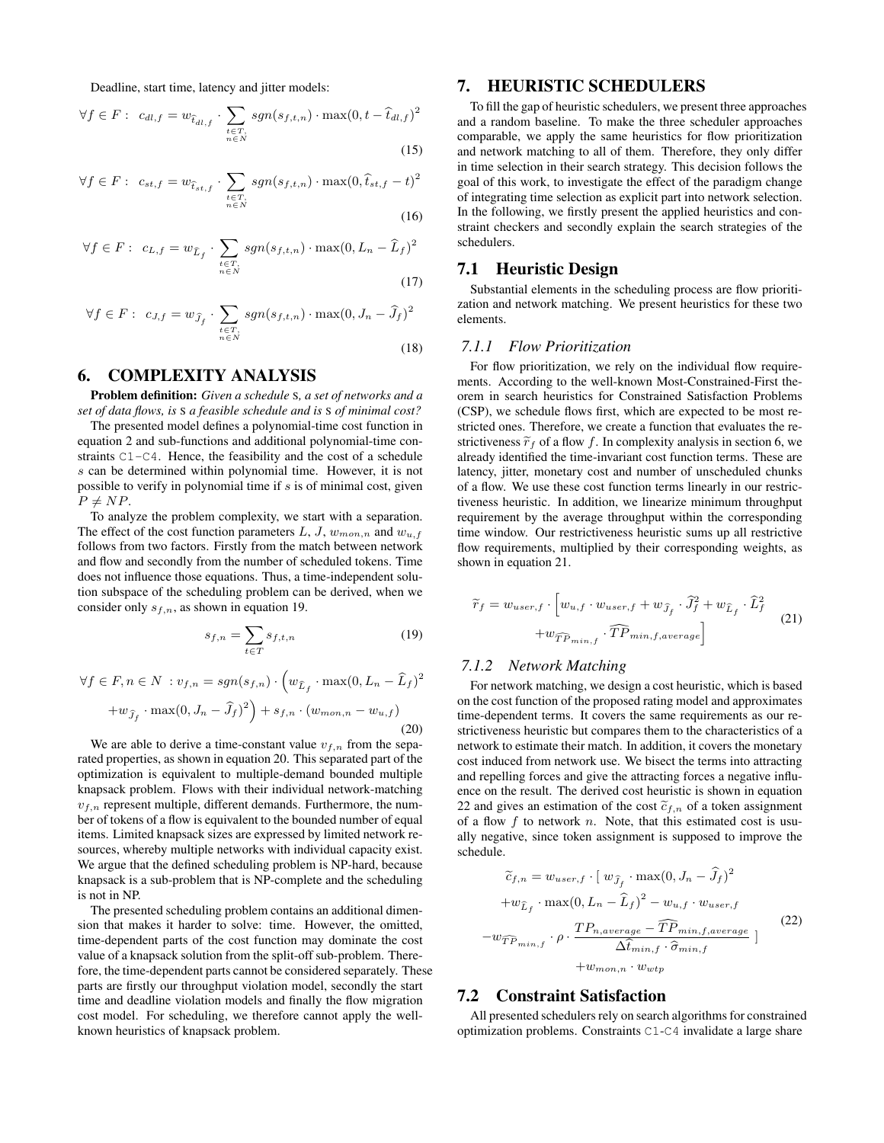Deadline, start time, latency and jitter models:

$$
\forall f \in F: \ c_{dl,f} = w_{\hat{t}_{dl,f}} \cdot \sum_{\substack{t \in T, \\ n \in N}} sgn(s_{f,t,n}) \cdot \max(0, t - \hat{t}_{dl,f})^2
$$
\n(15)

$$
\forall f \in F: \ c_{st,f} = w_{\hat{t}_{st,f}} \cdot \sum_{\substack{t \in T, \\ n \in N}} sgn(s_{f,t,n}) \cdot \max(0, \hat{t}_{st,f} - t)^2
$$
\n(16)

$$
\forall f \in F: \ c_{L,f} = w_{\widehat{L}_f} \cdot \sum_{\substack{t \in T, \\ n \in N}} sgn(s_{f,t,n}) \cdot \max(0, L_n - \widehat{L}_f)^2
$$
\n(17)

$$
\forall f \in F: \ c_{J,f} = w_{\widehat{J}_f} \cdot \sum_{\substack{t \in T, \\ n \in N}} sgn(s_{f,t,n}) \cdot \max(0, J_n - \widehat{J}_f)^2
$$
\n(18)

# 6. COMPLEXITY ANALYSIS

Problem definition: *Given a schedule* S*, a set of networks and a set of data flows, is* S *a feasible schedule and is* S *of minimal cost?*

The presented model defines a polynomial-time cost function in equation 2 and sub-functions and additional polynomial-time constraints C1-C4. Hence, the feasibility and the cost of a schedule s can be determined within polynomial time. However, it is not possible to verify in polynomial time if  $s$  is of minimal cost, given  $P \neq NP$ .

To analyze the problem complexity, we start with a separation. The effect of the cost function parameters L, J,  $w_{mon,n}$  and  $w_{u,f}$ follows from two factors. Firstly from the match between network and flow and secondly from the number of scheduled tokens. Time does not influence those equations. Thus, a time-independent solution subspace of the scheduling problem can be derived, when we consider only  $s_{f,n}$ , as shown in equation 19.

$$
s_{f,n} = \sum_{t \in T} s_{f,t,n} \tag{19}
$$

 $\forall f \in F, n \in N : v_{f,n} = sgn(s_{f,n}) \cdot \left(w_{\widehat{L}_f} \cdot \max(0, L_n - \widehat{L}_f)^2\right)$  $+w_{\hat{J}_f} \cdot \max(0, J_n - \hat{J}_f)^2 + s_{f,n} \cdot (w_{mon,n} - w_{u,f})$ (20)

We are able to derive a time-constant value  $v_{f,n}$  from the separated properties, as shown in equation 20. This separated part of the optimization is equivalent to multiple-demand bounded multiple knapsack problem. Flows with their individual network-matching  $v_{f,n}$  represent multiple, different demands. Furthermore, the number of tokens of a flow is equivalent to the bounded number of equal items. Limited knapsack sizes are expressed by limited network resources, whereby multiple networks with individual capacity exist. We argue that the defined scheduling problem is NP-hard, because knapsack is a sub-problem that is NP-complete and the scheduling is not in NP.

The presented scheduling problem contains an additional dimension that makes it harder to solve: time. However, the omitted, time-dependent parts of the cost function may dominate the cost value of a knapsack solution from the split-off sub-problem. Therefore, the time-dependent parts cannot be considered separately. These parts are firstly our throughput violation model, secondly the start time and deadline violation models and finally the flow migration cost model. For scheduling, we therefore cannot apply the wellknown heuristics of knapsack problem.

# 7. HEURISTIC SCHEDULERS

To fill the gap of heuristic schedulers, we present three approaches and a random baseline. To make the three scheduler approaches comparable, we apply the same heuristics for flow prioritization and network matching to all of them. Therefore, they only differ in time selection in their search strategy. This decision follows the goal of this work, to investigate the effect of the paradigm change of integrating time selection as explicit part into network selection. In the following, we firstly present the applied heuristics and constraint checkers and secondly explain the search strategies of the schedulers.

# 7.1 Heuristic Design

Substantial elements in the scheduling process are flow prioritization and network matching. We present heuristics for these two elements.

### *7.1.1 Flow Prioritization*

For flow prioritization, we rely on the individual flow requirements. According to the well-known Most-Constrained-First theorem in search heuristics for Constrained Satisfaction Problems (CSP), we schedule flows first, which are expected to be most restricted ones. Therefore, we create a function that evaluates the restrictiveness  $\tilde{r}_f$  of a flow f. In complexity analysis in section 6, we already identified the time-invariant cost function terms. These are latency, jitter, monetary cost and number of unscheduled chunks of a flow. We use these cost function terms linearly in our restrictiveness heuristic. In addition, we linearize minimum throughput requirement by the average throughput within the corresponding time window. Our restrictiveness heuristic sums up all restrictive flow requirements, multiplied by their corresponding weights, as shown in equation 21.

$$
\widetilde{r}_f = w_{user,f} \cdot \left[ w_{u,f} \cdot w_{user,f} + w_{\widehat{J}_f} \cdot \widehat{J}_f^2 + w_{\widehat{L}_f} \cdot \widehat{L}_f^2 + w_{\widehat{L}_f} \cdot \widehat{L}_f^2 \right]
$$
\n
$$
+ w_{\widehat{TP}_{min,f}} \cdot \widehat{TP}_{min,f,average} \right]
$$
\n(21)

### *7.1.2 Network Matching*

For network matching, we design a cost heuristic, which is based on the cost function of the proposed rating model and approximates time-dependent terms. It covers the same requirements as our restrictiveness heuristic but compares them to the characteristics of a network to estimate their match. In addition, it covers the monetary cost induced from network use. We bisect the terms into attracting and repelling forces and give the attracting forces a negative influence on the result. The derived cost heuristic is shown in equation 22 and gives an estimation of the cost  $\tilde{c}_{f,n}$  of a token assignment of a flow  $f$  to network  $n$ . Note, that this estimated cost is usually negative, since token assignment is supposed to improve the schedule.

$$
\widetilde{c}_{f,n} = w_{user,f} \cdot [w_{\widehat{J}_f} \cdot \max(0, J_n - \widehat{J}_f)^2 + w_{\widehat{L}_f} \cdot \max(0, L_n - \widehat{L}_f)^2 - w_{u,f} \cdot w_{user,f} - w_{\widehat{TP}_{min,f}} \cdot \rho \cdot \frac{TP_{n,average} - \widehat{TP}_{min,f,average}}{\Delta \widehat{t}_{min,f} \cdot \widehat{\sigma}_{min,f}} \quad (22) + w_{mon,n} \cdot w_{wtp}
$$

# 7.2 Constraint Satisfaction

All presented schedulers rely on search algorithms for constrained optimization problems. Constraints C1-C4 invalidate a large share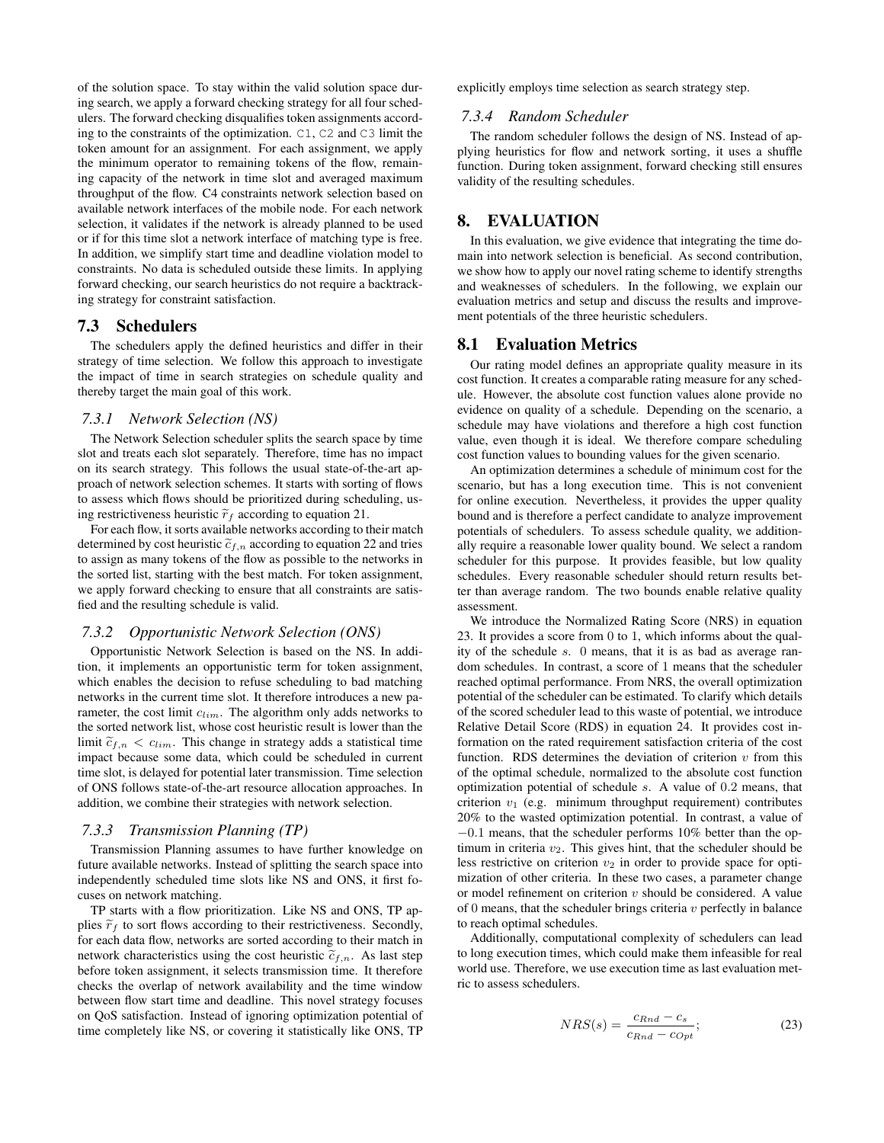of the solution space. To stay within the valid solution space during search, we apply a forward checking strategy for all four schedulers. The forward checking disqualifies token assignments according to the constraints of the optimization. C1, C2 and C3 limit the token amount for an assignment. For each assignment, we apply the minimum operator to remaining tokens of the flow, remaining capacity of the network in time slot and averaged maximum throughput of the flow. C4 constraints network selection based on available network interfaces of the mobile node. For each network selection, it validates if the network is already planned to be used or if for this time slot a network interface of matching type is free. In addition, we simplify start time and deadline violation model to constraints. No data is scheduled outside these limits. In applying forward checking, our search heuristics do not require a backtracking strategy for constraint satisfaction.

### 7.3 Schedulers

The schedulers apply the defined heuristics and differ in their strategy of time selection. We follow this approach to investigate the impact of time in search strategies on schedule quality and thereby target the main goal of this work.

### *7.3.1 Network Selection (NS)*

The Network Selection scheduler splits the search space by time slot and treats each slot separately. Therefore, time has no impact on its search strategy. This follows the usual state-of-the-art approach of network selection schemes. It starts with sorting of flows to assess which flows should be prioritized during scheduling, using restrictiveness heuristic  $\tilde{r}_f$  according to equation 21.

For each flow, it sorts available networks according to their match determined by cost heuristic  $\tilde{c}_{f,n}$  according to equation 22 and tries to assign as many tokens of the flow as possible to the networks in the sorted list, starting with the best match. For token assignment, we apply forward checking to ensure that all constraints are satisfied and the resulting schedule is valid.

### *7.3.2 Opportunistic Network Selection (ONS)*

Opportunistic Network Selection is based on the NS. In addition, it implements an opportunistic term for token assignment, which enables the decision to refuse scheduling to bad matching networks in the current time slot. It therefore introduces a new parameter, the cost limit  $c_{lim}$ . The algorithm only adds networks to the sorted network list, whose cost heuristic result is lower than the limit  $\tilde{c}_{f,n} < c_{lim}$ . This change in strategy adds a statistical time impact because some data, which could be scheduled in current time slot, is delayed for potential later transmission. Time selection of ONS follows state-of-the-art resource allocation approaches. In addition, we combine their strategies with network selection.

### *7.3.3 Transmission Planning (TP)*

Transmission Planning assumes to have further knowledge on future available networks. Instead of splitting the search space into independently scheduled time slots like NS and ONS, it first focuses on network matching.

TP starts with a flow prioritization. Like NS and ONS, TP applies  $\tilde{r}_f$  to sort flows according to their restrictiveness. Secondly, for each data flow, networks are sorted according to their match in network characteristics using the cost heuristic  $\tilde{c}_{f,n}$ . As last step before token assignment, it selects transmission time. It therefore checks the overlap of network availability and the time window between flow start time and deadline. This novel strategy focuses on QoS satisfaction. Instead of ignoring optimization potential of time completely like NS, or covering it statistically like ONS, TP

explicitly employs time selection as search strategy step.

#### *7.3.4 Random Scheduler*

The random scheduler follows the design of NS. Instead of applying heuristics for flow and network sorting, it uses a shuffle function. During token assignment, forward checking still ensures validity of the resulting schedules.

# 8. EVALUATION

In this evaluation, we give evidence that integrating the time domain into network selection is beneficial. As second contribution, we show how to apply our novel rating scheme to identify strengths and weaknesses of schedulers. In the following, we explain our evaluation metrics and setup and discuss the results and improvement potentials of the three heuristic schedulers.

### 8.1 Evaluation Metrics

Our rating model defines an appropriate quality measure in its cost function. It creates a comparable rating measure for any schedule. However, the absolute cost function values alone provide no evidence on quality of a schedule. Depending on the scenario, a schedule may have violations and therefore a high cost function value, even though it is ideal. We therefore compare scheduling cost function values to bounding values for the given scenario.

An optimization determines a schedule of minimum cost for the scenario, but has a long execution time. This is not convenient for online execution. Nevertheless, it provides the upper quality bound and is therefore a perfect candidate to analyze improvement potentials of schedulers. To assess schedule quality, we additionally require a reasonable lower quality bound. We select a random scheduler for this purpose. It provides feasible, but low quality schedules. Every reasonable scheduler should return results better than average random. The two bounds enable relative quality assessment.

We introduce the Normalized Rating Score (NRS) in equation 23. It provides a score from 0 to 1, which informs about the quality of the schedule s. 0 means, that it is as bad as average random schedules. In contrast, a score of 1 means that the scheduler reached optimal performance. From NRS, the overall optimization potential of the scheduler can be estimated. To clarify which details of the scored scheduler lead to this waste of potential, we introduce Relative Detail Score (RDS) in equation 24. It provides cost information on the rated requirement satisfaction criteria of the cost function. RDS determines the deviation of criterion  $v$  from this of the optimal schedule, normalized to the absolute cost function optimization potential of schedule s. A value of 0.2 means, that criterion  $v_1$  (e.g. minimum throughput requirement) contributes 20% to the wasted optimization potential. In contrast, a value of −0.1 means, that the scheduler performs 10% better than the optimum in criteria  $v_2$ . This gives hint, that the scheduler should be less restrictive on criterion  $v_2$  in order to provide space for optimization of other criteria. In these two cases, a parameter change or model refinement on criterion  $v$  should be considered. A value of 0 means, that the scheduler brings criteria  $v$  perfectly in balance to reach optimal schedules.

Additionally, computational complexity of schedulers can lead to long execution times, which could make them infeasible for real world use. Therefore, we use execution time as last evaluation metric to assess schedulers.

$$
NRS(s) = \frac{c_{Rnd} - c_s}{c_{Rnd} - c_{Opt}};
$$
\n(23)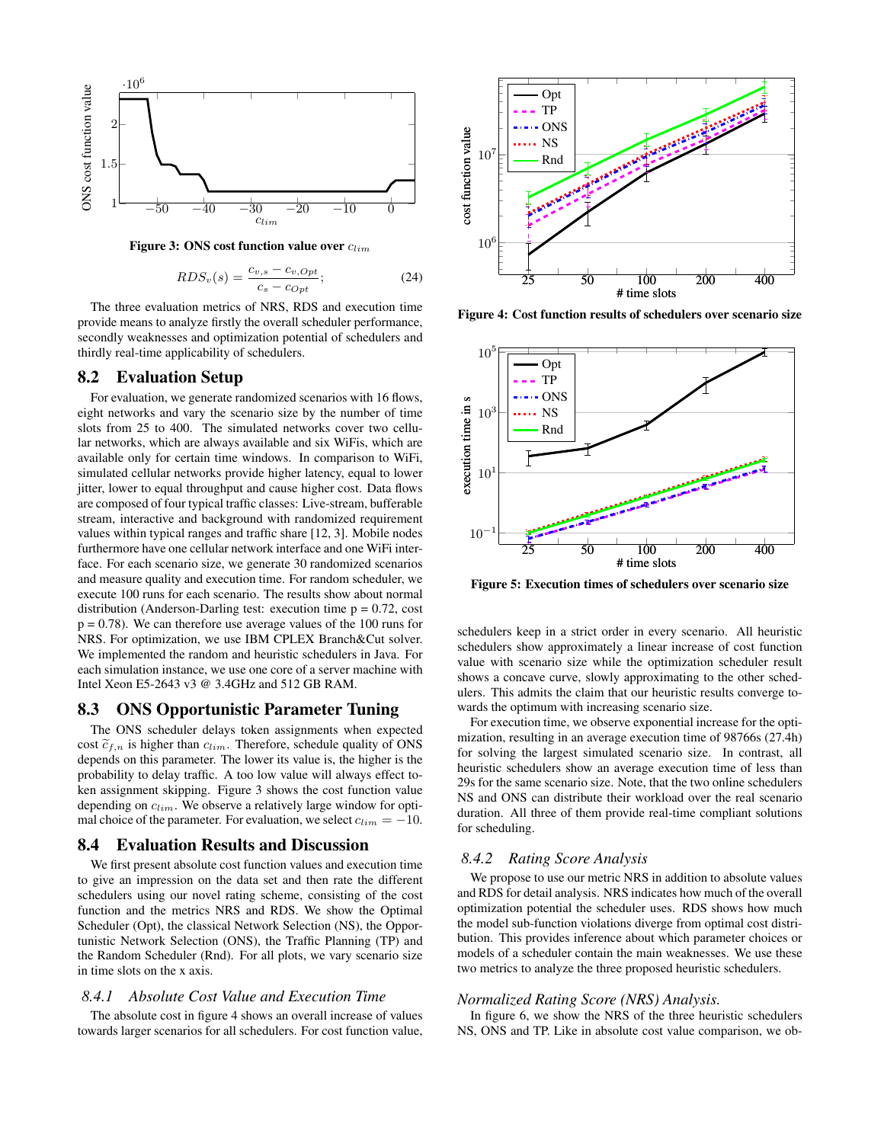

Figure 3: ONS cost function value over  $c_{lim}$ 

$$
RDS_v(s) = \frac{c_{v,s} - c_{v,Opt}}{c_s - c_{Opt}};
$$
\n(24)

The three evaluation metrics of NRS, RDS and execution time provide means to analyze firstly the overall scheduler performance, secondly weaknesses and optimization potential of schedulers and thirdly real-time applicability of schedulers.

### 8.2 Evaluation Setup

For evaluation, we generate randomized scenarios with 16 flows, eight networks and vary the scenario size by the number of time slots from 25 to 400. The simulated networks cover two cellular networks, which are always available and six WiFis, which are available only for certain time windows. In comparison to WiFi, simulated cellular networks provide higher latency, equal to lower jitter, lower to equal throughput and cause higher cost. Data flows are composed of four typical traffic classes: Live-stream, bufferable stream, interactive and background with randomized requirement values within typical ranges and traffic share [12, 3]. Mobile nodes furthermore have one cellular network interface and one WiFi interface. For each scenario size, we generate 30 randomized scenarios and measure quality and execution time. For random scheduler, we execute 100 runs for each scenario. The results show about normal distribution (Anderson-Darling test: execution time  $p = 0.72$ , cost  $p = 0.78$ ). We can therefore use average values of the 100 runs for NRS. For optimization, we use IBM CPLEX Branch&Cut solver. We implemented the random and heuristic schedulers in Java. For each simulation instance, we use one core of a server machine with Intel Xeon E5-2643 v3 @ 3.4GHz and 512 GB RAM.

### 8.3 ONS Opportunistic Parameter Tuning

The ONS scheduler delays token assignments when expected cost  $\tilde{c}_{f,n}$  is higher than  $c_{lim}$ . Therefore, schedule quality of ONS depends on this parameter. The lower its value is, the higher is the probability to delay traffic. A too low value will always effect token assignment skipping. Figure 3 shows the cost function value depending on  $c_{lim}$ . We observe a relatively large window for optimal choice of the parameter. For evaluation, we select  $c_{lim} = -10$ .

# 8.4 Evaluation Results and Discussion

We first present absolute cost function values and execution time to give an impression on the data set and then rate the different schedulers using our novel rating scheme, consisting of the cost function and the metrics NRS and RDS. We show the Optimal Scheduler (Opt), the classical Network Selection (NS), the Opportunistic Network Selection (ONS), the Traffic Planning (TP) and the Random Scheduler (Rnd). For all plots, we vary scenario size in time slots on the x axis.

#### *8.4.1 Absolute Cost Value and Execution Time*

The absolute cost in figure 4 shows an overall increase of values towards larger scenarios for all schedulers. For cost function value,



Figure 4: Cost function results of schedulers over scenario size



Figure 5: Execution times of schedulers over scenario size

schedulers keep in a strict order in every scenario. All heuristic schedulers show approximately a linear increase of cost function value with scenario size while the optimization scheduler result shows a concave curve, slowly approximating to the other schedulers. This admits the claim that our heuristic results converge towards the optimum with increasing scenario size.

For execution time, we observe exponential increase for the optimization, resulting in an average execution time of 98766s (27.4h) for solving the largest simulated scenario size. In contrast, all heuristic schedulers show an average execution time of less than 29s for the same scenario size. Note, that the two online schedulers NS and ONS can distribute their workload over the real scenario duration. All three of them provide real-time compliant solutions for scheduling.

### *8.4.2 Rating Score Analysis*

We propose to use our metric NRS in addition to absolute values and RDS for detail analysis. NRS indicates how much of the overall optimization potential the scheduler uses. RDS shows how much the model sub-function violations diverge from optimal cost distribution. This provides inference about which parameter choices or models of a scheduler contain the main weaknesses. We use these two metrics to analyze the three proposed heuristic schedulers.

### *Normalized Rating Score (NRS) Analysis.*

In figure 6, we show the NRS of the three heuristic schedulers NS, ONS and TP. Like in absolute cost value comparison, we ob-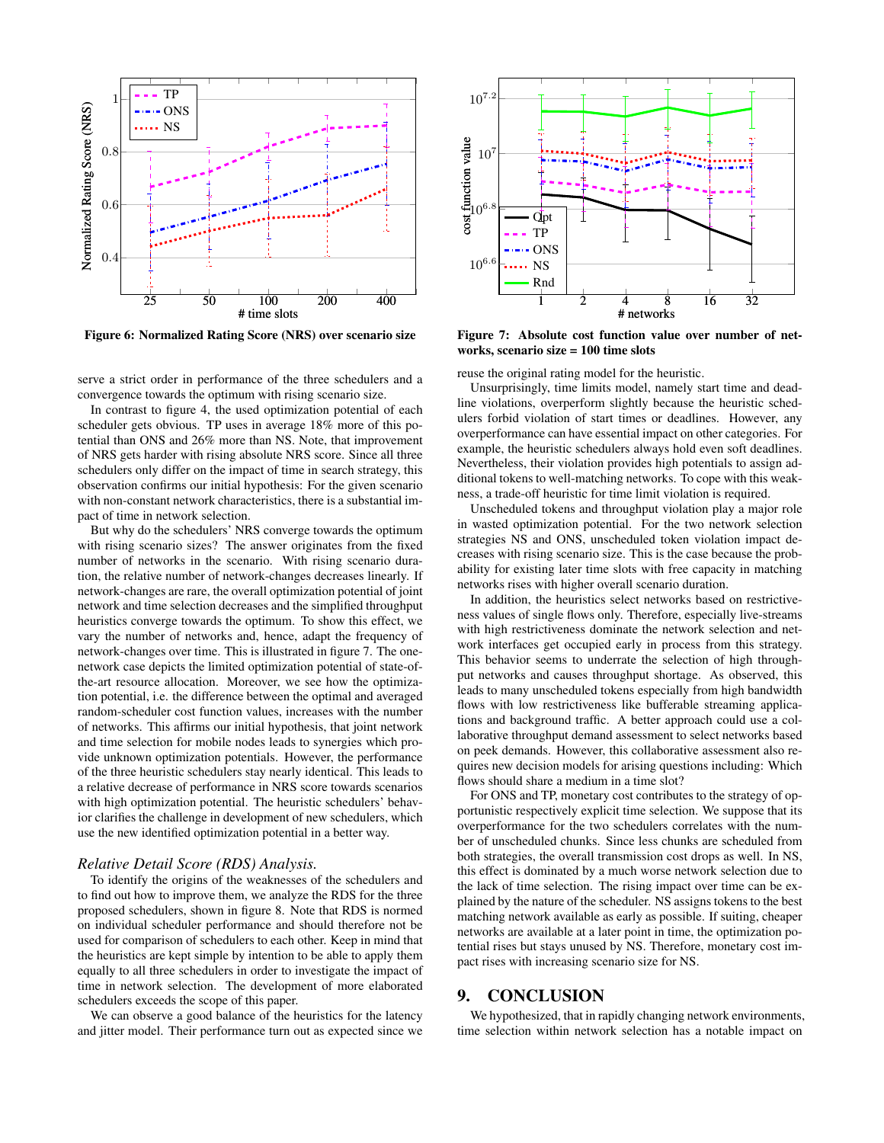

Figure 6: Normalized Rating Score (NRS) over scenario size

serve a strict order in performance of the three schedulers and a convergence towards the optimum with rising scenario size.

In contrast to figure 4, the used optimization potential of each scheduler gets obvious. TP uses in average 18% more of this potential than ONS and 26% more than NS. Note, that improvement of NRS gets harder with rising absolute NRS score. Since all three schedulers only differ on the impact of time in search strategy, this observation confirms our initial hypothesis: For the given scenario with non-constant network characteristics, there is a substantial impact of time in network selection.

But why do the schedulers' NRS converge towards the optimum with rising scenario sizes? The answer originates from the fixed number of networks in the scenario. With rising scenario duration, the relative number of network-changes decreases linearly. If network-changes are rare, the overall optimization potential of joint network and time selection decreases and the simplified throughput heuristics converge towards the optimum. To show this effect, we vary the number of networks and, hence, adapt the frequency of network-changes over time. This is illustrated in figure 7. The onenetwork case depicts the limited optimization potential of state-ofthe-art resource allocation. Moreover, we see how the optimization potential, i.e. the difference between the optimal and averaged random-scheduler cost function values, increases with the number of networks. This affirms our initial hypothesis, that joint network and time selection for mobile nodes leads to synergies which provide unknown optimization potentials. However, the performance of the three heuristic schedulers stay nearly identical. This leads to a relative decrease of performance in NRS score towards scenarios with high optimization potential. The heuristic schedulers' behavior clarifies the challenge in development of new schedulers, which use the new identified optimization potential in a better way.

#### *Relative Detail Score (RDS) Analysis.*

To identify the origins of the weaknesses of the schedulers and to find out how to improve them, we analyze the RDS for the three proposed schedulers, shown in figure 8. Note that RDS is normed on individual scheduler performance and should therefore not be used for comparison of schedulers to each other. Keep in mind that the heuristics are kept simple by intention to be able to apply them equally to all three schedulers in order to investigate the impact of time in network selection. The development of more elaborated schedulers exceeds the scope of this paper.

We can observe a good balance of the heuristics for the latency and jitter model. Their performance turn out as expected since we



Figure 7: Absolute cost function value over number of networks, scenario size = 100 time slots

reuse the original rating model for the heuristic.

Unsurprisingly, time limits model, namely start time and deadline violations, overperform slightly because the heuristic schedulers forbid violation of start times or deadlines. However, any overperformance can have essential impact on other categories. For example, the heuristic schedulers always hold even soft deadlines. Nevertheless, their violation provides high potentials to assign additional tokens to well-matching networks. To cope with this weakness, a trade-off heuristic for time limit violation is required.

Unscheduled tokens and throughput violation play a major role in wasted optimization potential. For the two network selection strategies NS and ONS, unscheduled token violation impact decreases with rising scenario size. This is the case because the probability for existing later time slots with free capacity in matching networks rises with higher overall scenario duration.

In addition, the heuristics select networks based on restrictiveness values of single flows only. Therefore, especially live-streams with high restrictiveness dominate the network selection and network interfaces get occupied early in process from this strategy. This behavior seems to underrate the selection of high throughput networks and causes throughput shortage. As observed, this leads to many unscheduled tokens especially from high bandwidth flows with low restrictiveness like bufferable streaming applications and background traffic. A better approach could use a collaborative throughput demand assessment to select networks based on peek demands. However, this collaborative assessment also requires new decision models for arising questions including: Which flows should share a medium in a time slot?

For ONS and TP, monetary cost contributes to the strategy of opportunistic respectively explicit time selection. We suppose that its overperformance for the two schedulers correlates with the number of unscheduled chunks. Since less chunks are scheduled from both strategies, the overall transmission cost drops as well. In NS, this effect is dominated by a much worse network selection due to the lack of time selection. The rising impact over time can be explained by the nature of the scheduler. NS assigns tokens to the best matching network available as early as possible. If suiting, cheaper networks are available at a later point in time, the optimization potential rises but stays unused by NS. Therefore, monetary cost impact rises with increasing scenario size for NS.

# 9. CONCLUSION

We hypothesized, that in rapidly changing network environments, time selection within network selection has a notable impact on